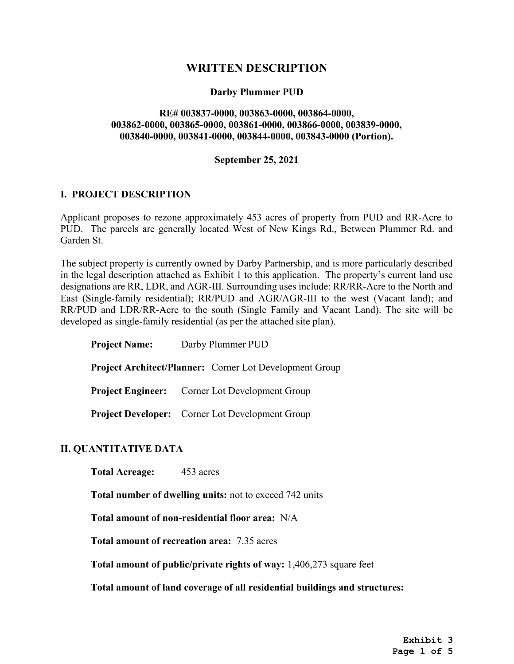# WRITTEN DESCRIPTION

## Darby Plummer PUD

### RE# 003837-0000, 003863-0000, 003864-0000, 003862-0000, 003865-0000, 003861-0000, 003866-0000, 003839-0000, 003840-0000, 003841-0000, 003844-0000, 003843-0000 (Portion).

#### September 25, 2021

#### I. PROJECT DESCRIPTION

 Applicant proposes to rezone approximately 453 acres of property from PUD and RR-Acre to PUD. The parcels are generally located West of New Kings Rd., Between Plummer Rd. and Garden St.

 The subject property is currently owned by Darby Partnership, and is more particularly described in the legal description attached as Exhibit 1 to this application. The property's current land use designations are RR, LDR, and AGR-III. Surrounding uses include: RR/RR-Acre to the North and East (Single-family residential); RR/PUD and AGR/AGR-III to the west (Vacant land); and RR/PUD and LDR/RR-Acre to the south (Single Family and Vacant Land). The site will be developed as single-family residential (as per the attached site plan).

| <b>Project Name:</b>                                           |  | Darby Plummer PUD                                      |
|----------------------------------------------------------------|--|--------------------------------------------------------|
| <b>Project Architect/Planner:</b> Corner Lot Development Group |  |                                                        |
|                                                                |  | <b>Project Engineer:</b> Corner Lot Development Group  |
|                                                                |  | <b>Project Developer:</b> Corner Lot Development Group |

#### II. QUANTITATIVE DATA

Total Acreage: 453 acres

Total number of dwelling units: not to exceed 742 units

Total amount of non-residential floor area: N/A

Total amount of recreation area: 7.35 acres

Total amount of public/private rights of way: 1,406,273 square feet

Total amount of land coverage of all residential buildings and structures: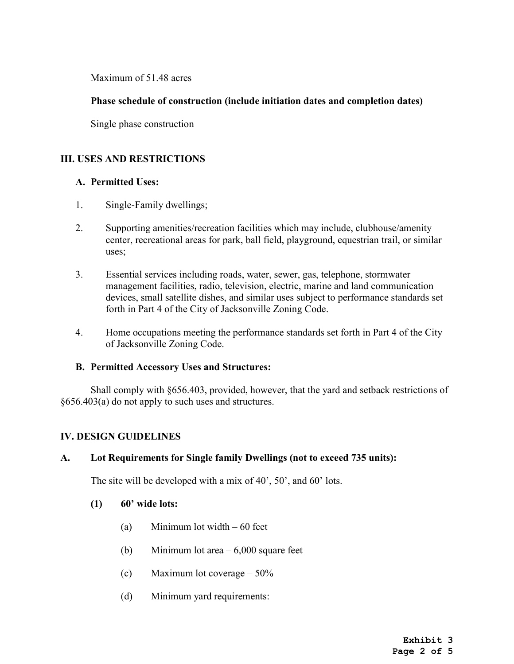Maximum of 51.48 acres

## Phase schedule of construction (include initiation dates and completion dates)

Single phase construction

## III. USES AND RESTRICTIONS

## A. Permitted Uses:

- 1. Single-Family dwellings;
- center, recreational areas for park, ball field, playground, equestrian trail, or similar 2. Supporting amenities/recreation facilities which may include, clubhouse/amenity uses;
- 3. Essential services including roads, water, sewer, gas, telephone, stormwater management facilities, radio, television, electric, marine and land communication devices, small satellite dishes, and similar uses subject to performance standards set forth in Part 4 of the City of Jacksonville Zoning Code.
- 4. Home occupations meeting the performance standards set forth in Part 4 of the City of Jacksonville Zoning Code.

#### B. Permitted Accessory Uses and Structures:

 §656.403(a) do not apply to such uses and structures. Shall comply with §656.403, provided, however, that the yard and setback restrictions of

#### IV. DESIGN GUIDELINES

#### A. Lot Requirements for Single family Dwellings (not to exceed 735 units):

The site will be developed with a mix of 40', 50', and 60' lots.

#### $(1)$  60' wide lots:

- (a) Minimum lot width 60 feet
- (b) Minimum lot area 6,000 square feet
- (c) Maximum lot coverage  $-50\%$
- (d) Minimum yard requirements: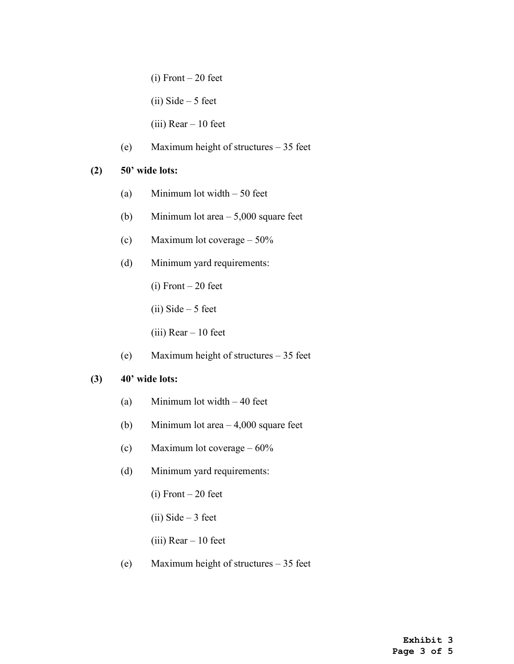$(i)$  Front – 20 feet

(ii) Side  $-5$  feet

(iii) Rear – 10 feet

(e) Maximum height of structures – 35 feet

## $(2)$  50' wide lots:

- (a) Minimum lot width 50 feet
- (b) Minimum lot area 5,000 square feet
- (c) Maximum lot coverage 50%
- (d) Minimum yard requirements:
	- $(i)$  Front 20 feet
	- $(ii)$  Side 5 feet
	- (iii) Rear 10 feet
- (e) Maximum height of structures 35 feet

## $(3)$  40' wide lots:

- (a) Minimum lot width 40 feet
- (b) Minimum lot area 4,000 square feet
- (c) Maximum lot coverage 60%
- (d) Minimum yard requirements:
	- $(i)$  Front 20 feet
	- $(ii)$  Side 3 feet
	- (iii) Rear 10 feet
- (e) Maximum height of structures 35 feet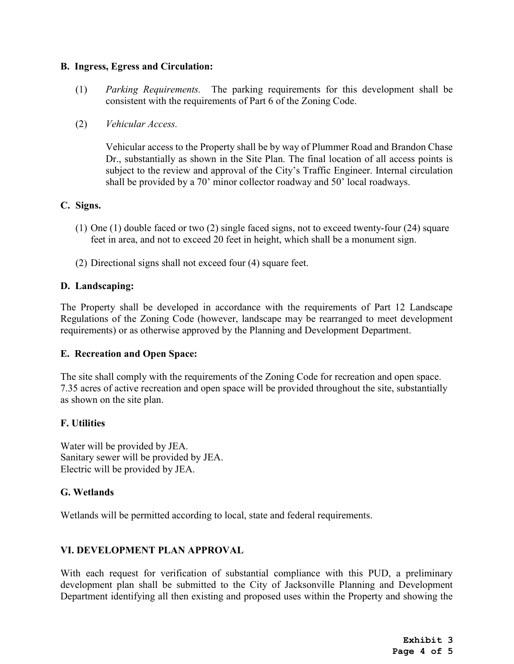## B. Ingress, Egress and Circulation:

- (1) Parking Requirements. The parking requirements for this development shall be consistent with the requirements of Part 6 of the Zoning Code.
- (2) Vehicular Access.

 Vehicular access to the Property shall be by way of Plummer Road and Brandon Chase Dr., substantially as shown in the Site Plan. The final location of all access points is subject to the review and approval of the City's Traffic Engineer. Internal circulation shall be provided by a 70' minor collector roadway and 50' local roadways.

## C. Signs.

- (1) One (1) double faced or two (2) single faced signs, not to exceed twenty-four (24) square feet in area, and not to exceed 20 feet in height, which shall be a monument sign.
- (2) Directional signs shall not exceed four (4) square feet.

## D. Landscaping:

 The Property shall be developed in accordance with the requirements of Part 12 Landscape Regulations of the Zoning Code (however, landscape may be rearranged to meet development requirements) or as otherwise approved by the Planning and Development Department.

#### E. Recreation and Open Space:

 7.35 acres of active recreation and open space will be provided throughout the site, substantially The site shall comply with the requirements of the Zoning Code for recreation and open space. as shown on the site plan.

#### F. Utilities

Water will be provided by JEA. Sanitary sewer will be provided by JEA. Electric will be provided by JEA.

## G. Wetlands

Wetlands will be permitted according to local, state and federal requirements.

### VI. DEVELOPMENT PLAN APPROVAL

 With each request for verification of substantial compliance with this PUD, a preliminary development plan shall be submitted to the City of Jacksonville Planning and Development Department identifying all then existing and proposed uses within the Property and showing the